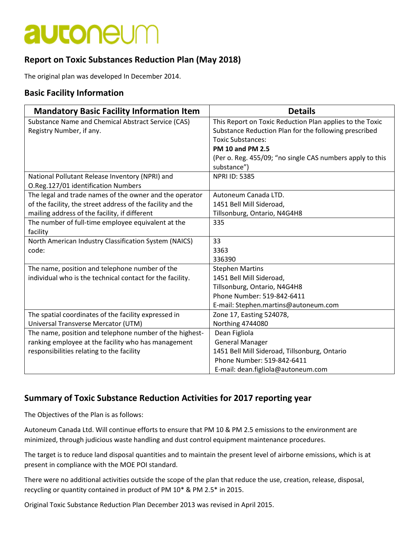# **autoneum**

### **Report on Toxic Substances Reduction Plan (May 2018)**

The original plan was developed In December 2014.

#### **Basic Facility Information**

| <b>Mandatory Basic Facility Information Item</b>            | <b>Details</b>                                            |
|-------------------------------------------------------------|-----------------------------------------------------------|
| Substance Name and Chemical Abstract Service (CAS)          | This Report on Toxic Reduction Plan applies to the Toxic  |
| Registry Number, if any.                                    | Substance Reduction Plan for the following prescribed     |
|                                                             | <b>Toxic Substances:</b>                                  |
|                                                             | <b>PM 10 and PM 2.5</b>                                   |
|                                                             | (Per o. Reg. 455/09; "no single CAS numbers apply to this |
|                                                             | substance")                                               |
| National Pollutant Release Inventory (NPRI) and             | <b>NPRI ID: 5385</b>                                      |
| O.Reg.127/01 identification Numbers                         |                                                           |
| The legal and trade names of the owner and the operator     | Autoneum Canada LTD.                                      |
| of the facility, the street address of the facility and the | 1451 Bell Mill Sideroad,                                  |
| mailing address of the facility, if different               | Tillsonburg, Ontario, N4G4H8                              |
| The number of full-time employee equivalent at the          | 335                                                       |
| facility                                                    |                                                           |
| North American Industry Classification System (NAICS)       | 33                                                        |
| code:                                                       | 3363                                                      |
|                                                             | 336390                                                    |
| The name, position and telephone number of the              | <b>Stephen Martins</b>                                    |
| individual who is the technical contact for the facility.   | 1451 Bell Mill Sideroad,                                  |
|                                                             | Tillsonburg, Ontario, N4G4H8                              |
|                                                             | Phone Number: 519-842-6411                                |
|                                                             | E-mail: Stephen.martins@autoneum.com                      |
| The spatial coordinates of the facility expressed in        | Zone 17, Easting 524078,                                  |
| Universal Transverse Mercator (UTM)                         | <b>Northing 4744080</b>                                   |
| The name, position and telephone number of the highest-     | Dean Figliola                                             |
| ranking employee at the facility who has management         | <b>General Manager</b>                                    |
| responsibilities relating to the facility                   | 1451 Bell Mill Sideroad, Tillsonburg, Ontario             |
|                                                             | Phone Number: 519-842-6411                                |
|                                                             | E-mail: dean.figliola@autoneum.com                        |

#### **Summary of Toxic Substance Reduction Activities for 2017 reporting year**

The Objectives of the Plan is as follows:

Autoneum Canada Ltd. Will continue efforts to ensure that PM 10 & PM 2.5 emissions to the environment are minimized, through judicious waste handling and dust control equipment maintenance procedures.

The target is to reduce land disposal quantities and to maintain the present level of airborne emissions, which is at present in compliance with the MOE POI standard.

There were no additional activities outside the scope of the plan that reduce the use, creation, release, disposal, recycling or quantity contained in product of PM 10\* & PM 2.5\* in 2015.

Original Toxic Substance Reduction Plan December 2013 was revised in April 2015.